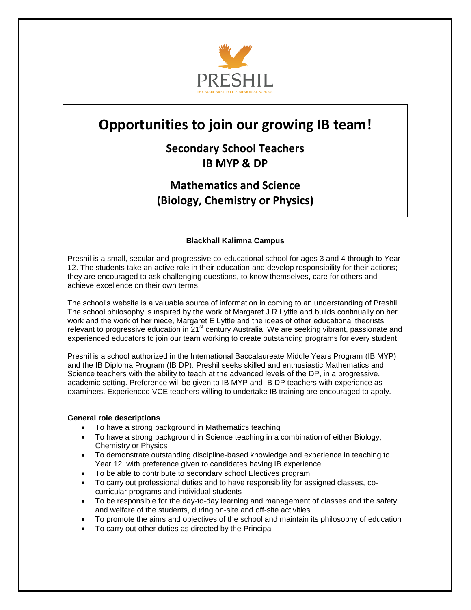

# **Opportunities to join our growing IB team!**

**Secondary School Teachers IB MYP & DP**

**Mathematics and Science (Biology, Chemistry or Physics)**

# **Blackhall Kalimna Campus**

Preshil is a small, secular and progressive co-educational school for ages 3 and 4 through to Year 12. The students take an active role in their education and develop responsibility for their actions; they are encouraged to ask challenging questions, to know themselves, care for others and achieve excellence on their own terms.

The school's website is a valuable source of information in coming to an understanding of Preshil. The school philosophy is inspired by the work of Margaret J R Lyttle and builds continually on her work and the work of her niece, Margaret E Lyttle and the ideas of other educational theorists relevant to progressive education in 21<sup>st</sup> century Australia. We are seeking vibrant, passionate and relevant to progressive education in 21<sup>st</sup> century Australia. We are seeking vibrant, passionate and experienced educators to join our team working to create outstanding programs for every student.

Preshil is a school authorized in the International Baccalaureate Middle Years Program (IB MYP) and the IB Diploma Program (IB DP). Preshil seeks skilled and enthusiastic Mathematics and Science teachers with the ability to teach at the advanced levels of the DP, in a progressive, academic setting. Preference will be given to IB MYP and IB DP teachers with experience as examiners. Experienced VCE teachers willing to undertake IB training are encouraged to apply.

#### **General role descriptions**

- To have a strong background in Mathematics teaching
- To have a strong background in Science teaching in a combination of either Biology, Chemistry or Physics
- To demonstrate outstanding discipline-based knowledge and experience in teaching to Year 12, with preference given to candidates having IB experience
- To be able to contribute to secondary school Electives program
- To carry out professional duties and to have responsibility for assigned classes, cocurricular programs and individual students
- To be responsible for the day-to-day learning and management of classes and the safety and welfare of the students, during on-site and off-site activities
- To promote the aims and objectives of the school and maintain its philosophy of education
- To carry out other duties as directed by the Principal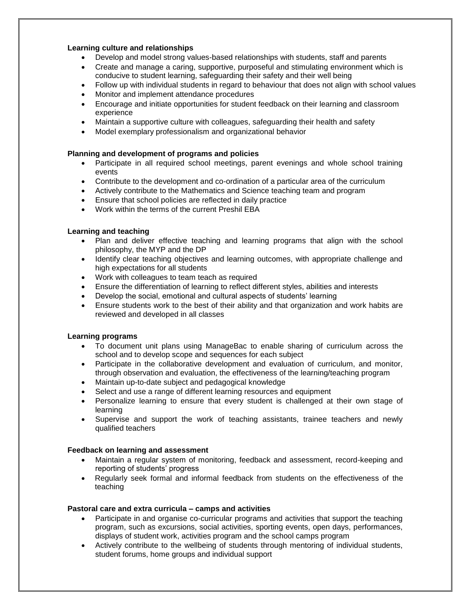# **Learning culture and relationships**

- Develop and model strong values-based relationships with students, staff and parents
- Create and manage a caring, supportive, purposeful and stimulating environment which is conducive to student learning, safeguarding their safety and their well being
- Follow up with individual students in regard to behaviour that does not align with school values
- Monitor and implement attendance procedures
- Encourage and initiate opportunities for student feedback on their learning and classroom experience
- Maintain a supportive culture with colleagues, safeguarding their health and safety
- Model exemplary professionalism and organizational behavior

# **Planning and development of programs and policies**

- Participate in all required school meetings, parent evenings and whole school training events
- Contribute to the development and co-ordination of a particular area of the curriculum
- Actively contribute to the Mathematics and Science teaching team and program
- Ensure that school policies are reflected in daily practice
- Work within the terms of the current Preshil EBA

# **Learning and teaching**

- Plan and deliver effective teaching and learning programs that align with the school philosophy, the MYP and the DP
- Identify clear teaching objectives and learning outcomes, with appropriate challenge and high expectations for all students
- Work with colleagues to team teach as required
- Ensure the differentiation of learning to reflect different styles, abilities and interests
- Develop the social, emotional and cultural aspects of students' learning
- Ensure students work to the best of their ability and that organization and work habits are reviewed and developed in all classes

#### **Learning programs**

- To document unit plans using ManageBac to enable sharing of curriculum across the school and to develop scope and sequences for each subject
- Participate in the collaborative development and evaluation of curriculum, and monitor, through observation and evaluation, the effectiveness of the learning/teaching program
- Maintain up-to-date subject and pedagogical knowledge
- Select and use a range of different learning resources and equipment
- Personalize learning to ensure that every student is challenged at their own stage of learning
- Supervise and support the work of teaching assistants, trainee teachers and newly qualified teachers

#### **Feedback on learning and assessment**

- Maintain a regular system of monitoring, feedback and assessment, record-keeping and reporting of students' progress
- Regularly seek formal and informal feedback from students on the effectiveness of the teaching

#### **Pastoral care and extra curricula – camps and activities**

- Participate in and organise co-curricular programs and activities that support the teaching program, such as excursions, social activities, sporting events, open days, performances, displays of student work, activities program and the school camps program
- Actively contribute to the wellbeing of students through mentoring of individual students, student forums, home groups and individual support